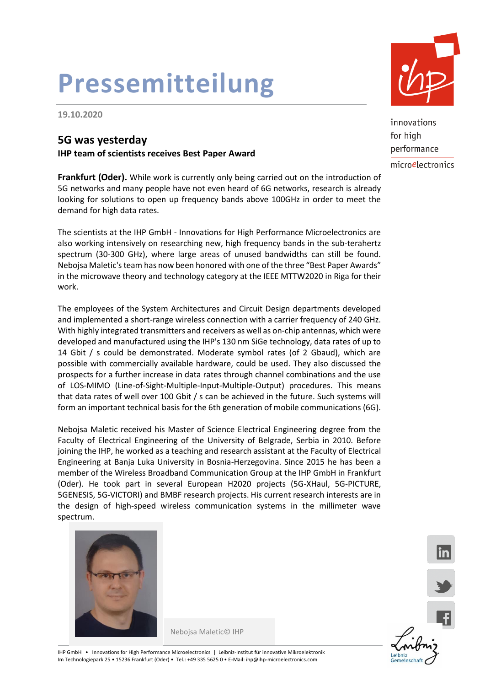# **Pressemitteilung**

**19.10.2020**

### **5G was yesterday**

**IHP team of scientists receives Best Paper Award**

**Frankfurt (Oder).** While work is currently only being carried out on the introduction of 5G networks and many people have not even heard of 6G networks, research is already looking for solutions to open up frequency bands above 100GHz in order to meet the demand for high data rates.

The scientists at the IHP GmbH - Innovations for High Performance Microelectronics are also working intensively on researching new, high frequency bands in the sub-terahertz spectrum (30-300 GHz), where large areas of unused bandwidths can still be found. Nebojsa Maletic's team has now been honored with one of the three "Best Paper Awards" in the microwave theory and technology category at the IEEE MTTW2020 in Riga for their work.

The employees of the System Architectures and Circuit Design departments developed and implemented a short-range wireless connection with a carrier frequency of 240 GHz. With highly integrated transmitters and receivers as well as on-chip antennas, which were developed and manufactured using the IHP's 130 nm SiGe technology, data rates of up to 14 Gbit / s could be demonstrated. Moderate symbol rates (of 2 Gbaud), which are possible with commercially available hardware, could be used. They also discussed the prospects for a further increase in data rates through channel combinations and the use of LOS-MIMO (Line-of-Sight-Multiple-Input-Multiple-Output) procedures. This means that data rates of well over 100 Gbit / s can be achieved in the future. Such systems will form an important technical basis for the 6th generation of mobile communications (6G).

Nebojsa Maletic received his Master of Science Electrical Engineering degree from the Faculty of Electrical Engineering of the University of Belgrade, Serbia in 2010. Before joining the IHP, he worked as a teaching and research assistant at the Faculty of Electrical Engineering at Banja Luka University in Bosnia-Herzegovina. Since 2015 he has been a member of the Wireless Broadband Communication Group at the IHP GmbH in Frankfurt (Oder). He took part in several European H2020 projects (5G-XHaul, 5G-PICTURE, 5GENESIS, 5G-VICTORI) and BMBF research projects. His current research interests are in the design of high-speed wireless communication systems in the millimeter wave spectrum.



Nebojsa Maletic© IHP



innovations for high performance microelectronics



lin

IHP GmbH • Innovations for High Performance Microelectronics | Leibniz-Institut für innovative Mikroelektronik Im Technologiepark 25 • 15236 Frankfurt (Oder) • Tel.: +49 335 5625 0 • E-Mail: ihp@ihp-microelectronics.com